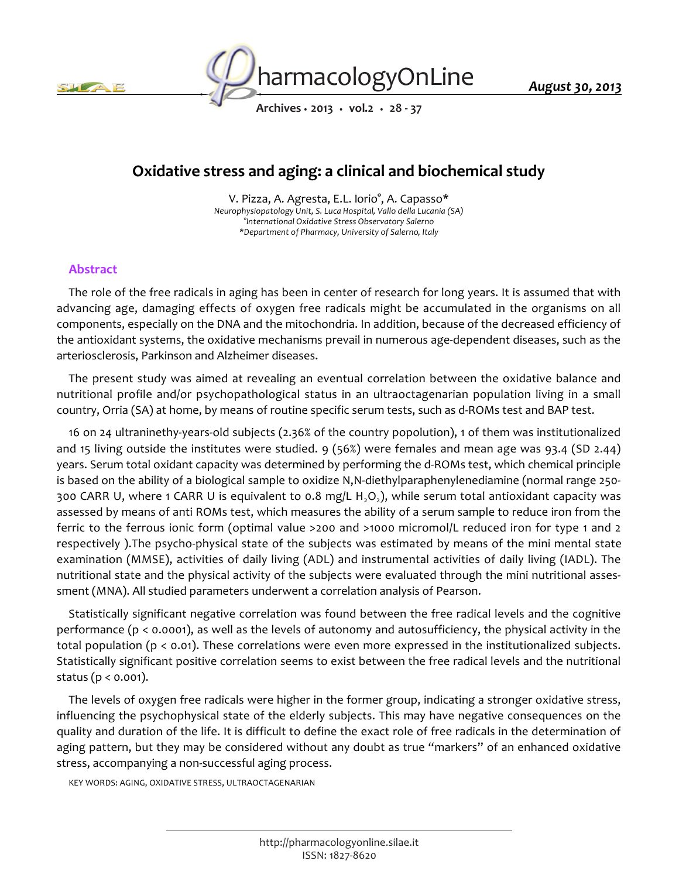



*August 30, 2013*

*Archives • 2013 • vol.2 • 28 - 37*

# *Oxidative stress and aging: a clinical and biochemical study*

*V. Pizza, A. Agresta, E.L. Iorio°, A. Capasso\* Neurophysiopatology Unit, S. Luca Hospital, Vallo della Lucania (SA) °International Oxidative Stress Observatory Salerno \*Department of Pharmacy, University of Salerno, Italy*

# *Abstract*

*The role of the free radicals in aging has been in center of research for long years. It is assumed that with*  advancing age, damaging effects of oxygen free radicals might be accumulated in the organisms on all *components, especially on the DNA and the mitochondria. In addition, because of the decreased efficiency of the antioxidant systems, the oxidative mechanisms prevail in numerous age-dependent diseases, such as the arteriosclerosis, Parkinson and Alzheimer diseases.*

*The present study was aimed at revealing an eventual correlation between the oxidative balance and nutritional profile and/or psychopathological status in an ultraoctagenarian population living in a small country, Orria (SA) at home, by means of routine specific serum tests, such as d-ROMs test and BAP test.*

*16 on 24 ultraninethy-years-old subjects (2.36% of the country popolution), 1 of them was institutionalized and 15 living outside the institutes were studied. 9 (56%) were females and mean age was 93.4 (SD 2.44) years. Serum total oxidant capacity was determined by performing the d-ROMs test, which chemical principle is based on the ability of a biological sample to oxidize N,N-diethylparaphenylenediamine (normal range 250- 300 CARR U, where 1 CARR U is equivalent to 0.8 mg/L H2O<sup>2</sup> ), while serum total antioxidant capacity was assessed by means of anti ROMs test, which measures the ability of a serum sample to reduce iron from the ferric to the ferrous ionic form (optimal value >200 and >1000 micromol/L reduced iron for type 1 and 2 respectively ).The psycho-physical state of the subjects was estimated by means of the mini mental state examination (MMSE), activities of daily living (ADL) and instrumental activities of daily living (IADL). The nutritional state and the physical activity of the subjects were evaluated through the mini nutritional assessment (MNA). All studied parameters underwent a correlation analysis of Pearson.*

*Statistically significant negative correlation was found between the free radical levels and the cognitive performance (p < 0.0001), as well as the levels of autonomy and autosufficiency, the physical activity in the total population (p < 0.01). These correlations were even more expressed in the institutionalized subjects. Statistically significant positive correlation seems to exist between the free radical levels and the nutritional status (p < 0.001).*

*The levels of oxygen free radicals were higher in the former group, indicating a stronger oxidative stress, influencing the psychophysical state of the elderly subjects. This may have negative consequences on the quality and duration of the life. It is difficult to define the exact role of free radicals in the determination of*  aging pattern, but they may be considered without any doubt as true "markers" of an enhanced oxidative *stress, accompanying a non-successful aging process.*

*KEY WORDS: AGING, OXIDATIVE STRESS, ULTRAOCTAGENARIAN*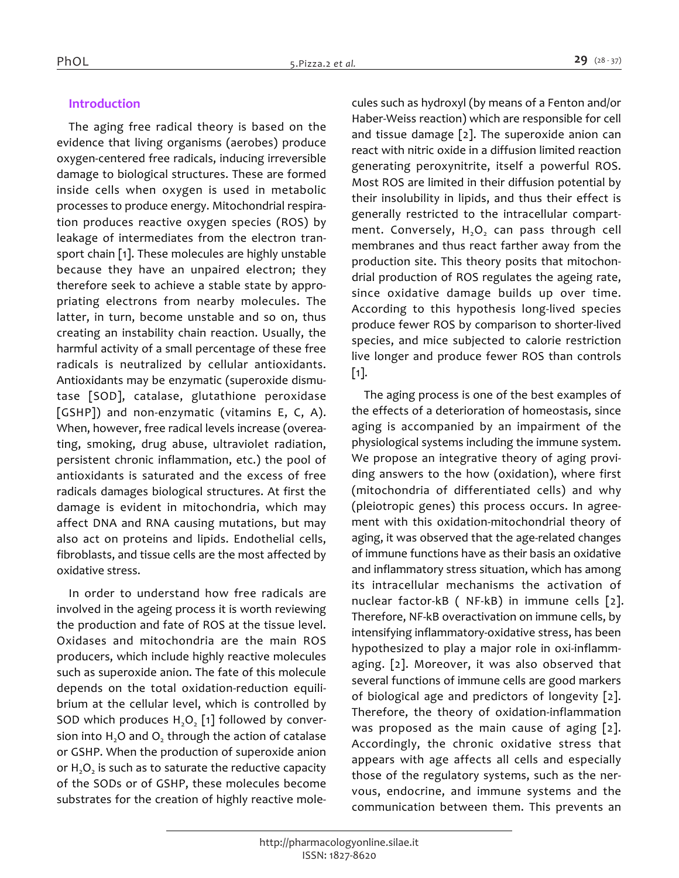# *Introduction*

*The aging free radical theory is based on the evidence that living organisms (aerobes) produce oxygen-centered free radicals, inducing irreversible damage to biological structures. These are formed inside cells when oxygen is used in metabolic processes to produce energy. Mitochondrial respiration produces reactive oxygen species (ROS) by leakage of intermediates from the electron transport chain [1]. These molecules are highly unstable because they have an unpaired electron; they therefore seek to achieve a stable state by appropriating electrons from nearby molecules. The latter, in turn, become unstable and so on, thus creating an instability chain reaction. Usually, the harmful activity of a small percentage of these free radicals is neutralized by cellular antioxidants. Antioxidants may be enzymatic (superoxide dismutase [SOD], catalase, glutathione peroxidase [GSHP]) and non-enzymatic (vitamins E, C, A). When, however, free radical levels increase (overeating, smoking, drug abuse, ultraviolet radiation, persistent chronic inflammation, etc.) the pool of antioxidants is saturated and the excess of free radicals damages biological structures. At first the damage is evident in mitochondria, which may affect DNA and RNA causing mutations, but may also act on proteins and lipids. Endothelial cells, fibroblasts, and tissue cells are the most affected by oxidative stress.*

*In order to understand how free radicals are involved in the ageing process it is worth reviewing the production and fate of ROS at the tissue level. Oxidases and mitochondria are the main ROS producers, which include highly reactive molecules such as superoxide anion. The fate of this molecule depends on the total oxidation-reduction equilibrium at the cellular level, which is controlled by SOD which produces H2O<sup>2</sup> [1] followed by conversion into H2O and O<sup>2</sup> through the action of catalase or GSHP. When the production of superoxide anion or H2O<sup>2</sup> is such as to saturate the reductive capacity of the SODs or of GSHP, these molecules become substrates for the creation of highly reactive mole-* *cules such as hydroxyl (by means of a Fenton and/or Haber-Weiss reaction) which are responsible for cell and tissue damage [2]. The superoxide anion can react with nitric oxide in a diffusion limited reaction generating peroxynitrite, itself a powerful ROS. Most ROS are limited in their diffusion potential by their insolubility in lipids, and thus their effect is generally restricted to the intracellular compartment. Conversely, H2O<sup>2</sup> can pass through cell membranes and thus react farther away from the production site. This theory posits that mitochondrial production of ROS regulates the ageing rate, since oxidative damage builds up over time. According to this hypothesis long-lived species produce fewer ROS by comparison to shorter-lived species, and mice subjected to calorie restriction live longer and produce fewer ROS than controls [1].*

*The aging process is one of the best examples of the effects of a deterioration of homeostasis, since aging is accompanied by an impairment of the physiological systems including the immune system. We propose an integrative theory of aging providing answers to the how (oxidation), where first (mitochondria of differentiated cells) and why (pleiotropic genes) this process occurs. In agreement with this oxidation-mitochondrial theory of aging, it was observed that the age-related changes of immune functions have as their basis an oxidative and inflammatory stress situation, which has among its intracellular mechanisms the activation of nuclear factor-kB ( NF-kB) in immune cells [2]. Therefore, NF-kB overactivation on immune cells, by intensifying inflammatory-oxidative stress, has been hypothesized to play a major role in oxi-inflammaging. [2]. Moreover, it was also observed that several functions of immune cells are good markers of biological age and predictors of longevity [2]. Therefore, the theory of oxidation-inflammation was proposed as the main cause of aging [2]. Accordingly, the chronic oxidative stress that appears with age affects all cells and especially those of the regulatory systems, such as the nervous, endocrine, and immune systems and the communication between them. This prevents an*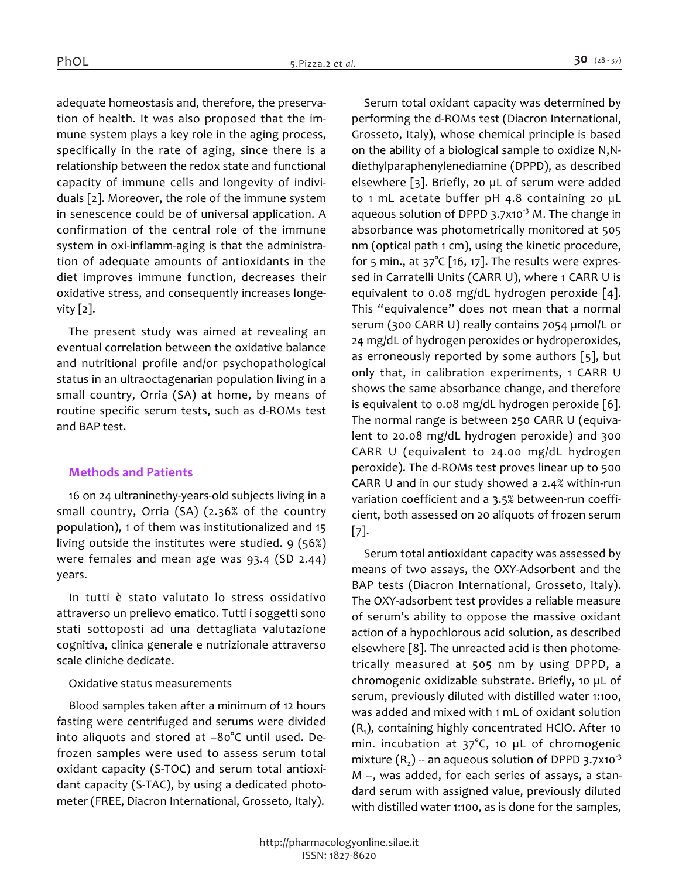*adequate homeostasis and, therefore, the preservation of health. It was also proposed that the immune system plays a key role in the aging process, specifically in the rate of aging, since there is a relationship between the redox state and functional capacity of immune cells and longevity of individuals [2]. Moreover, the role of the immune system in senescence could be of universal application. A confirmation of the central role of the immune system in oxi-inflamm-aging is that the administration of adequate amounts of antioxidants in the diet improves immune function, decreases their oxidative stress, and consequently increases longevity [2].*

*The present study was aimed at revealing an eventual correlation between the oxidative balance and nutritional profile and/or psychopathological status in an ultraoctagenarian population living in a small country, Orria (SA) at home, by means of routine specific serum tests, such as d-ROMs test and BAP test.*

# *Methods and Patients*

*16 on 24 ultraninethy-years-old subjects living in a small country, Orria (SA) (2.36% of the country population), 1 of them was institutionalized and 15 living outside the institutes were studied. 9 (56%) were females and mean age was 93.4 (SD 2.44) years.*

*In tutti è stato valutato lo stress ossidativo attraverso un prelievo ematico. Tutti i soggetti sono stati sottoposti ad una dettagliata valutazione cognitiva, clinica generale e nutrizionale attraverso scale cliniche dedicate.*

#### *Oxidative status measurements*

*Blood samples taken after a minimum of 12 hours fasting were centrifuged and serums were divided into aliquots and stored at –80°C until used. Defrozen samples were used to assess serum total oxidant capacity (S-TOC) and serum total antioxidant capacity (S-TAC), by using a dedicated photometer (FREE, Diacron International, Grosseto, Italy).*

*Serum total oxidant capacity was determined by performing the d-ROMs test (Diacron International, Grosseto, Italy), whose chemical principle is based on the ability of a biological sample to oxidize N,Ndiethylparaphenylenediamine (DPPD), as described elsewhere [3]. Briefly, 20 µL of serum were added to 1 mL acetate buffer pH 4.8 containing 20 µL aqueous solution of DPPD 3.7x10-3 M. The change in absorbance was photometrically monitored at 505 nm (optical path 1 cm), using the kinetic procedure, for 5 min., at 37°C [16, 17]. The results were expressed in Carratelli Units (CARR U), where 1 CARR U is equivalent to 0.08 mg/dL hydrogen peroxide [4]. This "equivalence" does not mean that a normal serum (300 CARR U) really contains 7054 µmol/L or 24 mg/dL of hydrogen peroxides or hydroperoxides, as erroneously reported by some authors [5], but only that, in calibration experiments, 1 CARR U shows the same absorbance change, and therefore is equivalent to 0.08 mg/dL hydrogen peroxide [6]. The normal range is between 250 CARR U (equivalent to 20.08 mg/dL hydrogen peroxide) and 300 CARR U (equivalent to 24.00 mg/dL hydrogen peroxide). The d-ROMs test proves linear up to 500 CARR U and in our study showed a 2.4% within-run variation coefficient and a 3.5% between-run coefficient, both assessed on 20 aliquots of frozen serum [7].*

*Serum total antioxidant capacity was assessed by means of two assays, the OXY-Adsorbent and the BAP tests (Diacron International, Grosseto, Italy). The OXY-adsorbent test provides a reliable measure of serum's ability to oppose the massive oxidant action of a hypochlorous acid solution, as described elsewhere [8]. The unreacted acid is then photometrically measured at 505 nm by using DPPD, a chromogenic oxidizable substrate. Briefly, 10 µL of serum, previously diluted with distilled water 1:100, was added and mixed with 1 mL of oxidant solution (R<sup>1</sup> ), containing highly concentrated HClO. After 10 min. incubation at 37°C, 10 µL of chromogenic mixture (R<sup>2</sup> ) -- an aqueous solution of DPPD 3.7x10-3 M --, was added, for each series of assays, a standard serum with assigned value, previously diluted with distilled water 1:100, as is done for the samples,*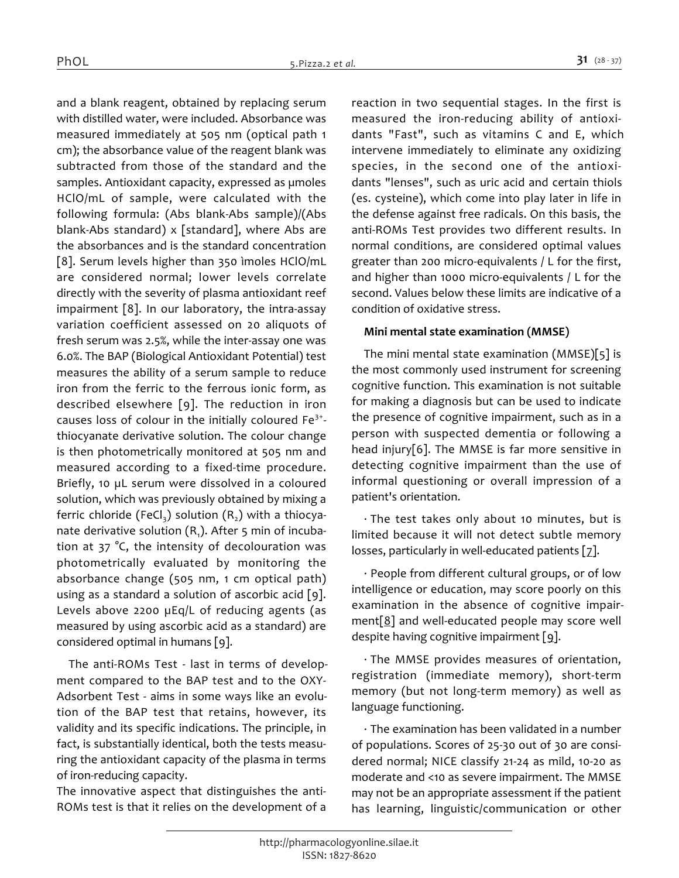*and a blank reagent, obtained by replacing serum with distilled water, were included. Absorbance was measured immediately at 505 nm (optical path 1 cm); the absorbance value of the reagent blank was subtracted from those of the standard and the samples. Antioxidant capacity, expressed as µmoles HClO/mL of sample, were calculated with the following formula: (Abs blank-Abs sample)/(Abs blank-Abs standard) x [standard], where Abs are the absorbances and is the standard concentration [8]. Serum levels higher than 350 ìmoles HClO/mL are considered normal; lower levels correlate directly with the severity of plasma antioxidant reef impairment [8]. In our laboratory, the intra-assay variation coefficient assessed on 20 aliquots of fresh serum was 2.5%, while the inter-assay one was 6.0%. The BAP (Biological Antioxidant Potential) test measures the ability of a serum sample to reduce iron from the ferric to the ferrous ionic form, as described elsewhere [9]. The reduction in iron causes loss of colour in the initially coloured Fe3+ thiocyanate derivative solution. The colour change is then photometrically monitored at 505 nm and measured according to a fixed-time procedure. Briefly, 10 µL serum were dissolved in a coloured solution, which was previously obtained by mixing a ferric chloride (FeCl<sup>3</sup> ) solution (R<sup>2</sup> ) with a thiocyanate derivative solution (R<sup>1</sup> ). After 5 min of incubation at 37 °C, the intensity of decolouration was photometrically evaluated by monitoring the absorbance change (505 nm, 1 cm optical path) using as a standard a solution of ascorbic acid [9]. Levels above 2200 µEq/L of reducing agents (as measured by using ascorbic acid as a standard) are considered optimal in humans [9].*

*The anti-ROMs Test - last in terms of development compared to the BAP test and to the OXY-Adsorbent Test - aims in some ways like an evolution of the BAP test that retains, however, its validity and its specific indications. The principle, in fact, is substantially identical, both the tests measuring the antioxidant capacity of the plasma in terms of iron-reducing capacity.*

*The innovative aspect that distinguishes the anti-ROMs test is that it relies on the development of a* 

*reaction in two sequential stages. In the first is measured the iron-reducing ability of antioxidants "Fast", such as vitamins C and E, which intervene immediately to eliminate any oxidizing species, in the second one of the antioxidants "lenses", such as uric acid and certain thiols (es. cysteine), which come into play later in life in the defense against free radicals. On this basis, the anti-ROMs Test provides two different results. In normal conditions, are considered optimal values greater than 200 micro-equivalents / L for the first, and higher than 1000 micro-equivalents / L for the second. Values below these limits are indicative of a condition of oxidative stress.*

# *Mini mental state examination (MMSE)*

*The mini mental state examination (MMSE)[5] is the most commonly used instrument for screening cognitive function. This examination is not suitable for making a diagnosis but can be used to indicate the presence of cognitive impairment, such as in a person with suspected dementia or following a head injury[6]. The MMSE is far more sensitive in detecting cognitive impairment than the use of informal questioning or overall impression of a patient's orientation.*

*· The test takes only about 10 minutes, but is limited because it will not detect subtle memory losses, particularly in well-educated patients [7].*

*· People from different cultural groups, or of low intelligence or education, may score poorly on this examination in the absence of cognitive impairment[8] and well-educated people may score well despite having cognitive impairment [9].*

*· The MMSE provides measures of orientation, registration (immediate memory), short-term memory (but not long-term memory) as well as language functioning.*

*· The examination has been validated in a number of populations. Scores of 25-30 out of 30 are considered normal; NICE classify 21-24 as mild, 10-20 as moderate and <10 as severe impairment. The MMSE may not be an appropriate assessment if the patient has learning, linguistic/communication or other*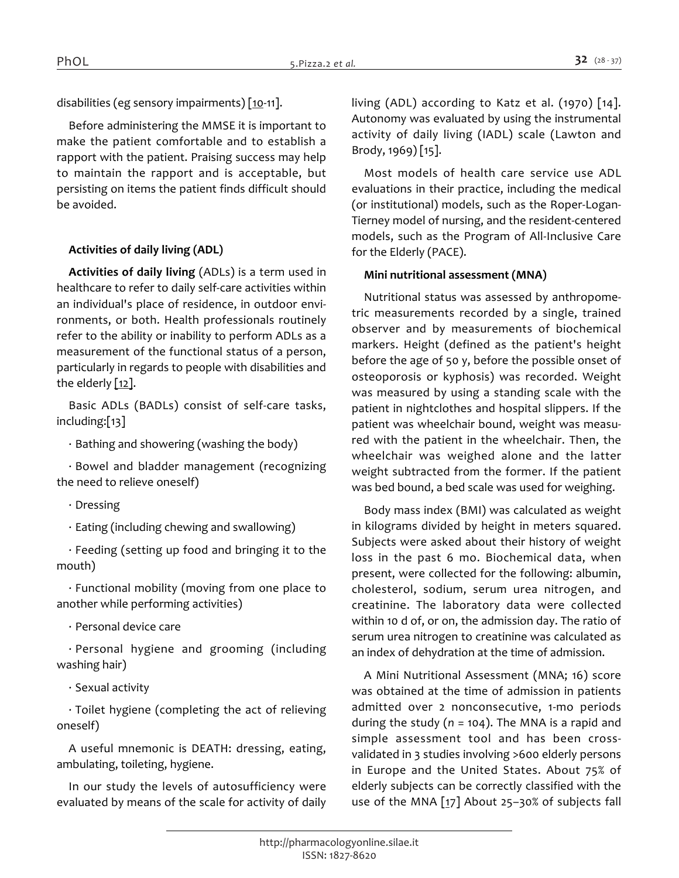*disabilities (eg sensory impairments) [10-11].*

*Before administering the MMSE it is important to make the patient comfortable and to establish a rapport with the patient. Praising success may help to maintain the rapport and is acceptable, but persisting on items the patient finds difficult should be avoided.*

# *Activities of daily living (ADL)*

*Activities of daily living (ADLs) is a term used in healthcare to refer to daily self-care activities within an individual's place of residence, in outdoor environments, or both. Health professionals routinely refer to the ability or inability to perform ADLs as a measurement of the functional status of a person, particularly in regards to people with disabilities and the elderly [12].*

*Basic ADLs (BADLs) consist of self-care tasks, including:[13]*

*· Bathing and showering (washing the body)*

*· Bowel and bladder management (recognizing the need to relieve oneself)*

*· Dressing*

*· Eating (including chewing and swallowing)*

*· Feeding (setting up food and bringing it to the mouth)*

*· Functional mobility (moving from one place to another while performing activities)*

*· Personal device care*

*· Personal hygiene and grooming (including washing hair)*

*· Sexual activity*

*· Toilet hygiene (completing the act of relieving oneself)*

*A useful mnemonic is DEATH: dressing, eating, ambulating, toileting, hygiene.*

*In our study the levels of autosufficiency were evaluated by means of the scale for activity of daily*  *living (ADL) according to Katz et al. (1970) [14]. Autonomy was evaluated by using the instrumental activity of daily living (IADL) scale (Lawton and Brody, 1969) [15].*

*Most models of health care service use ADL evaluations in their practice, including the medical (or institutional) models, such as the Roper-Logan-Tierney model of nursing, and the resident-centered models, such as the Program of All-Inclusive Care for the Elderly (PACE).*

# *Mini nutritional assessment (MNA)*

*Nutritional status was assessed by anthropometric measurements recorded by a single, trained observer and by measurements of biochemical markers. Height (defined as the patient's height before the age of 50 y, before the possible onset of osteoporosis or kyphosis) was recorded. Weight was measured by using a standing scale with the patient in nightclothes and hospital slippers. If the patient was wheelchair bound, weight was measured with the patient in the wheelchair. Then, the wheelchair was weighed alone and the latter weight subtracted from the former. If the patient was bed bound, a bed scale was used for weighing.*

*Body mass index (BMI) was calculated as weight in kilograms divided by height in meters squared. Subjects were asked about their history of weight loss in the past 6 mo. Biochemical data, when present, were collected for the following: albumin, cholesterol, sodium, serum urea nitrogen, and creatinine. The laboratory data were collected within 10 d of, or on, the admission day. The ratio of serum urea nitrogen to creatinine was calculated as an index of dehydration at the time of admission.*

*A Mini Nutritional Assessment (MNA; 16) score was obtained at the time of admission in patients admitted over 2 nonconsecutive, 1-mo periods during the study (n = 104). The MNA is a rapid and simple assessment tool and has been crossvalidated in 3 studies involving >600 elderly persons in Europe and the United States. About 75% of elderly subjects can be correctly classified with the use of the MNA [17] About 25–30% of subjects fall*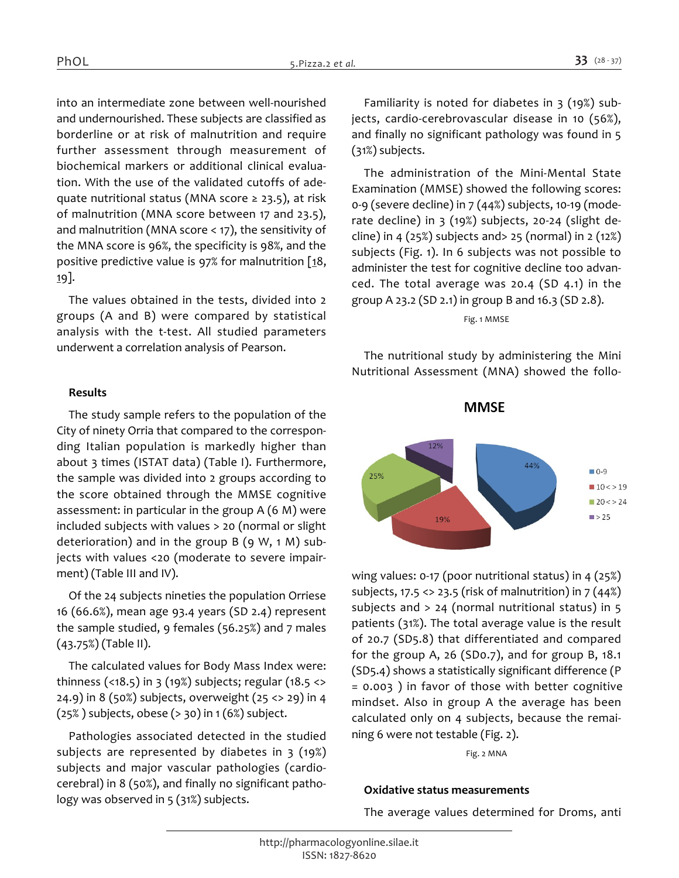*into an intermediate zone between well-nourished and undernourished. These subjects are classified as borderline or at risk of malnutrition and require further assessment through measurement of biochemical markers or additional clinical evaluation. With the use of the validated cutoffs of adequate nutritional status (MNA score ≥ 23.5), at risk of malnutrition (MNA score between 17 and 23.5), and malnutrition (MNA score < 17), the sensitivity of the MNA score is 96%, the specificity is 98%, and the positive predictive value is 97% for malnutrition [18, 19].*

*The values obtained in the tests, divided into 2 groups (A and B) were compared by statistical analysis with the t-test. All studied parameters underwent a correlation analysis of Pearson.*

# *Results*

*The study sample refers to the population of the City of ninety Orria that compared to the corresponding Italian population is markedly higher than about 3 times (ISTAT data) (Table I). Furthermore, the sample was divided into 2 groups according to the score obtained through the MMSE cognitive assessment: in particular in the group A (6 M) were included subjects with values > 20 (normal or slight deterioration) and in the group B (9 W, 1 M) subjects with values <20 (moderate to severe impairment) (Table III and IV).*

*Of the 24 subjects nineties the population Orriese 16 (66.6%), mean age 93.4 years (SD 2.4) represent the sample studied, 9 females (56.25%) and 7 males (43.75%) (Table II).*

*The calculated values for Body Mass Index were: thinness (<18.5) in 3 (19%) subjects; regular (18.5 <> 24.9) in 8 (50%) subjects, overweight (25 <> 29) in 4 (25% ) subjects, obese (> 30) in 1 (6%) subject.*

*Pathologies associated detected in the studied subjects are represented by diabetes in 3 (19%) subjects and major vascular pathologies (cardiocerebral) in 8 (50%), and finally no significant pathology was observed in 5 (31%) subjects.*

*Familiarity is noted for diabetes in 3 (19%) subjects, cardio-cerebrovascular disease in 10 (56%), and finally no significant pathology was found in 5 (31%) subjects.*

*The administration of the Mini-Mental State Examination (MMSE) showed the following scores: 0-9 (severe decline) in 7 (44%) subjects, 10-19 (moderate decline) in 3 (19%) subjects, 20-24 (slight decline) in 4 (25%) subjects and> 25 (normal) in 2 (12%) subjects (Fig. 1). In 6 subjects was not possible to administer the test for cognitive decline too advanced. The total average was 20.4 (SD 4.1) in the group A 23.2 (SD 2.1) in group B and 16.3 (SD 2.8).*

#### *Fig. 1 MMSE*

*The nutritional study by administering the Mini Nutritional Assessment (MNA) showed the follo-*

# **MMSE**



*wing values: 0-17 (poor nutritional status) in 4 (25%) subjects, 17.5 <> 23.5 (risk of malnutrition) in 7 (44%) subjects and > 24 (normal nutritional status) in 5 patients (31%). The total average value is the result of 20.7 (SD5.8) that differentiated and compared for the group A, 26 (SD0.7), and for group B, 18.1 (SD5.4) shows a statistically significant difference (P = 0.003 ) in favor of those with better cognitive mindset. Also in group A the average has been calculated only on 4 subjects, because the remaining 6 were not testable (Fig. 2).*

*Fig. 2 MNA*

#### *Oxidative status measurements*

*The average values determined for Droms, anti*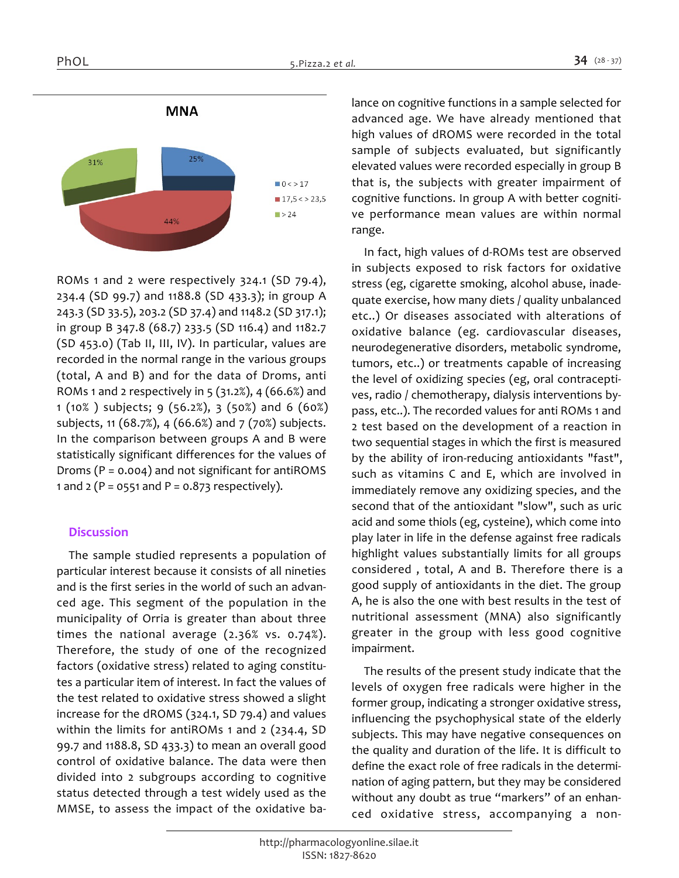

*ROMs 1 and 2 were respectively 324.1 (SD 79.4), 234.4 (SD 99.7) and 1188.8 (SD 433.3); in group A 243.3 (SD 33.5), 203.2 (SD 37.4) and 1148.2 (SD 317.1); in group B 347.8 (68.7) 233.5 (SD 116.4) and 1182.7 (SD 453.0) (Tab II, III, IV). In particular, values are recorded in the normal range in the various groups (total, A and B) and for the data of Droms, anti ROMs 1 and 2 respectively in 5 (31.2%), 4 (66.6%) and 1 (10% ) subjects; 9 (56.2%), 3 (50%) and 6 (60%) subjects, 11 (68.7%), 4 (66.6%) and 7 (70%) subjects. In the comparison between groups A and B were statistically significant differences for the values of Droms (P = 0.004) and not significant for antiROMS 1 and 2 (P = 0551 and P = 0.873 respectively).*

#### *Discussion*

*The sample studied represents a population of particular interest because it consists of all nineties and is the first series in the world of such an advanced age. This segment of the population in the municipality of Orria is greater than about three times the national average (2.36% vs. 0.74%). Therefore, the study of one of the recognized factors (oxidative stress) related to aging constitutes a particular item of interest. In fact the values of the test related to oxidative stress showed a slight increase for the dROMS (324.1, SD 79.4) and values within the limits for antiROMs 1 and 2 (234.4, SD 99.7 and 1188.8, SD 433.3) to mean an overall good control of oxidative balance. The data were then divided into 2 subgroups according to cognitive status detected through a test widely used as the MMSE, to assess the impact of the oxidative ba-* *lance on cognitive functions in a sample selected for advanced age. We have already mentioned that high values of dROMS were recorded in the total sample of subjects evaluated, but significantly elevated values were recorded especially in group B that is, the subjects with greater impairment of cognitive functions. In group A with better cognitive performance mean values are within normal range.*

*In fact, high values of d-ROMs test are observed in subjects exposed to risk factors for oxidative stress (eg, cigarette smoking, alcohol abuse, inadequate exercise, how many diets / quality unbalanced etc..) Or diseases associated with alterations of oxidative balance (eg. cardiovascular diseases, neurodegenerative disorders, metabolic syndrome, tumors, etc..) or treatments capable of increasing the level of oxidizing species (eg, oral contraceptives, radio / chemotherapy, dialysis interventions bypass, etc..). The recorded values for anti ROMs 1 and 2 test based on the development of a reaction in two sequential stages in which the first is measured by the ability of iron-reducing antioxidants "fast", such as vitamins C and E, which are involved in immediately remove any oxidizing species, and the second that of the antioxidant "slow", such as uric acid and some thiols (eg, cysteine), which come into play later in life in the defense against free radicals highlight values substantially limits for all groups considered , total, A and B. Therefore there is a good supply of antioxidants in the diet. The group A, he is also the one with best results in the test of nutritional assessment (MNA) also significantly greater in the group with less good cognitive impairment.*

*The results of the present study indicate that the levels of oxygen free radicals were higher in the former group, indicating a stronger oxidative stress, influencing the psychophysical state of the elderly subjects. This may have negative consequences on the quality and duration of the life. It is difficult to define the exact role of free radicals in the determination of aging pattern, but they may be considered without any doubt as true "markers" of an enhanced oxidative stress, accompanying a non-*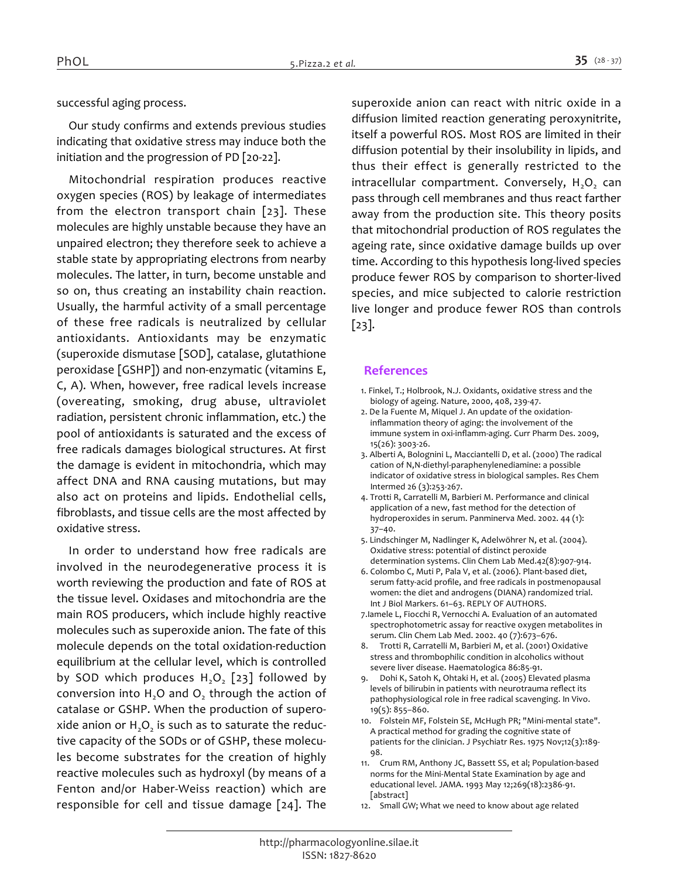*successful aging process.*

*Our study confirms and extends previous studies indicating that oxidative stress may induce both the initiation and the progression of PD [20-22].*

*Mitochondrial respiration produces reactive oxygen species (ROS) by leakage of intermediates from the electron transport chain [23]. These molecules are highly unstable because they have an unpaired electron; they therefore seek to achieve a stable state by appropriating electrons from nearby molecules. The latter, in turn, become unstable and so on, thus creating an instability chain reaction. Usually, the harmful activity of a small percentage of these free radicals is neutralized by cellular antioxidants. Antioxidants may be enzymatic (superoxide dismutase [SOD], catalase, glutathione peroxidase [GSHP]) and non-enzymatic (vitamins E, C, A). When, however, free radical levels increase (overeating, smoking, drug abuse, ultraviolet radiation, persistent chronic inflammation, etc.) the pool of antioxidants is saturated and the excess of free radicals damages biological structures. At first the damage is evident in mitochondria, which may affect DNA and RNA causing mutations, but may also act on proteins and lipids. Endothelial cells, fibroblasts, and tissue cells are the most affected by oxidative stress.*

*In order to understand how free radicals are involved in the neurodegenerative process it is worth reviewing the production and fate of ROS at the tissue level. Oxidases and mitochondria are the main ROS producers, which include highly reactive molecules such as superoxide anion. The fate of this molecule depends on the total oxidation-reduction equilibrium at the cellular level, which is controlled by SOD which produces H2O<sup>2</sup> [23] followed by conversion into H2O and O<sup>2</sup> through the action of catalase or GSHP. When the production of superoxide anion or H2O<sup>2</sup> is such as to saturate the reductive capacity of the SODs or of GSHP, these molecules become substrates for the creation of highly reactive molecules such as hydroxyl (by means of a Fenton and/or Haber-Weiss reaction) which are responsible for cell and tissue damage [24]. The* 

*superoxide anion can react with nitric oxide in a diffusion limited reaction generating peroxynitrite, itself a powerful ROS. Most ROS are limited in their diffusion potential by their insolubility in lipids, and thus their effect is generally restricted to the intracellular compartment. Conversely, H2O<sup>2</sup> can pass through cell membranes and thus react farther away from the production site. This theory posits that mitochondrial production of ROS regulates the ageing rate, since oxidative damage builds up over time. According to this hypothesis long-lived species produce fewer ROS by comparison to shorter-lived species, and mice subjected to calorie restriction live longer and produce fewer ROS than controls [23].*

# *References*

- *1. Finkel, T.; Holbrook, N.J. Oxidants, oxidative stress and the biology of ageing. Nature, 2000, 408, 239-47.*
- *2. De la Fuente M, Miquel J. An update of the oxidationinflammation theory of aging: the involvement of the immune system in oxi-inflamm-aging. Curr Pharm Des. 2009, 15(26): 3003-26.*
- *3. Alberti A, Bolognini L, Macciantelli D, et al. (2000) The radical cation of N,N-diethyl-paraphenylenediamine: a possible indicator of oxidative stress in biological samples. Res Chem Intermed 26 (3):253-267.*
- *4. Trotti R, Carratelli M, Barbieri M. Performance and clinical application of a new, fast method for the detection of hydroperoxides in serum. Panminerva Med. 2002. 44 (1): 37–40.*
- *5. Lindschinger M, Nadlinger K, Adelwöhrer N, et al. (2004). Oxidative stress: potential of distinct peroxide determination systems. Clin Chem Lab Med.42(8):907-914.*
- *6. Colombo C, Muti P, Pala V, et al. (2006). Plant-based diet, serum fatty-acid profile, and free radicals in postmenopausal women: the diet and androgens (DIANA) randomized trial. Int J Biol Markers. 61–63. REPLY OF AUTHORS.*
- *7.Iamele L, Fiocchi R, Vernocchi A. Evaluation of an automated spectrophotometric assay for reactive oxygen metabolites in serum. Clin Chem Lab Med. 2002. 40 (7):673–676.*
- *8. Trotti R, Carratelli M, Barbieri M, et al. (2001) Oxidative stress and thrombophilic condition in alcoholics without severe liver disease. Haematologica 86:85-91.*
- *9. Dohi K, Satoh K, Ohtaki H, et al. (2005) Elevated plasma levels of bilirubin in patients with neurotrauma reflect its pathophysiological role in free radical scavenging. In Vivo. 19(5): 855–860.*
- *10. Folstein MF, Folstein SE, McHugh PR; "Mini-mental state". A practical method for grading the cognitive state of patients for the clinician. J Psychiatr Res. 1975 Nov;12(3):189- 98.*
- *11. Crum RM, Anthony JC, Bassett SS, et al; Population-based norms for the Mini-Mental State Examination by age and educational level. JAMA. 1993 May 12;269(18):2386-91. [abstract]*
- *12. Small GW; What we need to know about age related*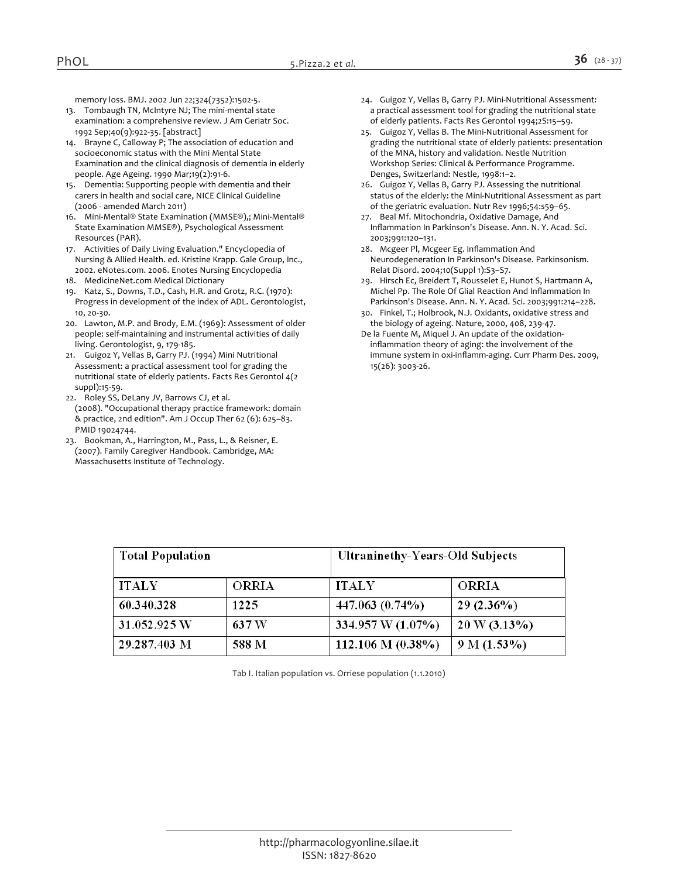*memory loss. BMJ. 2002 Jun 22;324(7352):1502-5.*

- *13. Tombaugh TN, McIntyre NJ; The mini-mental state examination: a comprehensive review. J Am Geriatr Soc. 1992 Sep;40(9):922-35. [abstract]*
- *14. Brayne C, Calloway P; The association of education and socioeconomic status with the Mini Mental State Examination and the clinical diagnosis of dementia in elderly people. Age Ageing. 1990 Mar;19(2):91-6.*
- *15. Dementia: Supporting people with dementia and their carers in health and social care, NICE Clinical Guideline (2006 - amended March 2011)*
- *16. Mini-Mental® State Examination (MMSE®),; Mini-Mental® State Examination MMSE®), Psychological Assessment Resources (PAR).*
- *17. Activities of Daily Living Evaluation." Encyclopedia of Nursing & Allied Health. ed. Kristine Krapp. Gale Group, Inc., 2002. eNotes.com. 2006. Enotes Nursing Encyclopedia*
- *18. MedicineNet.com Medical Dictionary*
- *19. Katz, S., Downs, T.D., Cash, H.R. and Grotz, R.C. (1970): Progress in development of the index of ADL. Gerontologist, 10, 20-30.*
- *20. Lawton, M.P. and Brody, E.M. (1969): Assessment of older people: self-maintaining and instrumental activities of daily living. Gerontologist, 9, 179-185.*
- *21. Guigoz Y, Vellas B, Garry PJ. (1994) Mini Nutritional Assessment: a practical assessment tool for grading the nutritional state of elderly patients. Facts Res Gerontol 4(2 suppl):15-59.*
- *22. Roley SS, DeLany JV, Barrows CJ, et al. (2008). "Occupational therapy practice framework: domain & practice, 2nd edition". Am J Occup Ther 62 (6): 625–83. PMID 19024744.*
- *23. Bookman, A., Harrington, M., Pass, L., & Reisner, E. (2007). Family Caregiver Handbook. Cambridge, MA: Massachusetts Institute of Technology.*
- *24. Guigoz Y, Vellas B, Garry PJ. Mini-Nutritional Assessment: a practical assessment tool for grading the nutritional state of elderly patients. Facts Res Gerontol 1994;2S:15–59.*
- *25. Guigoz Y, Vellas B. The Mini-Nutritional Assessment for grading the nutritional state of elderly patients: presentation of the MNA, history and validation. Nestle Nutrition Workshop Series: Clinical & Performance Programme. Denges, Switzerland: Nestle, 1998:1–2.*
- *26. Guigoz Y, Vellas B, Garry PJ. Assessing the nutritional status of the elderly: the Mini-Nutritional Assessment as part of the geriatric evaluation. Nutr Rev 1996;54:s59–65.*
- *27. Beal Mf. Mitochondria, Oxidative Damage, And Inflammation In Parkinson's Disease. Ann. N. Y. Acad. Sci. 2003;991:120–131.*
- *28. Mcgeer Pl, Mcgeer Eg. Inflammation And Neurodegeneration In Parkinson's Disease. Parkinsonism. Relat Disord. 2004;10(Suppl 1):S3–S7.*
- *29. Hirsch Ec, Breidert T, Rousselet E, Hunot S, Hartmann A, Michel Pp. The Role Of Glial Reaction And Inflammation In Parkinson's Disease. Ann. N. Y. Acad. Sci. 2003;991:214–228.*
- *30. Finkel, T.; Holbrook, N.J. Oxidants, oxidative stress and the biology of ageing. Nature, 2000, 408, 239-47.*
- *De la Fuente M, Miquel J. An update of the oxidationinflammation theory of aging: the involvement of the immune system in oxi-inflamm-aging. Curr Pharm Des. 2009, 15(26): 3003-26.*

| <b>Total Population</b> |              | Ultraninethy-Years-Old Subjects |                 |  |  |  |  |
|-------------------------|--------------|---------------------------------|-----------------|--|--|--|--|
| <b>ITALY</b>            | <b>ORRIA</b> | ITALY                           | <b>ORRIA</b>    |  |  |  |  |
| 60.340.328              | 1225         | 447.063 (0.74%)                 | $29(2.36\%)$    |  |  |  |  |
| 31.052.925 W            | 637 W        | 334.957 W (1.07%)               | $20 W (3.13\%)$ |  |  |  |  |
| 29.287.403 M            | 588 M        | 112.106 M $(0.38\%)$            | $9 M (1.53\%)$  |  |  |  |  |

*Tab I. Italian population vs. Orriese population (1.1.2010)*